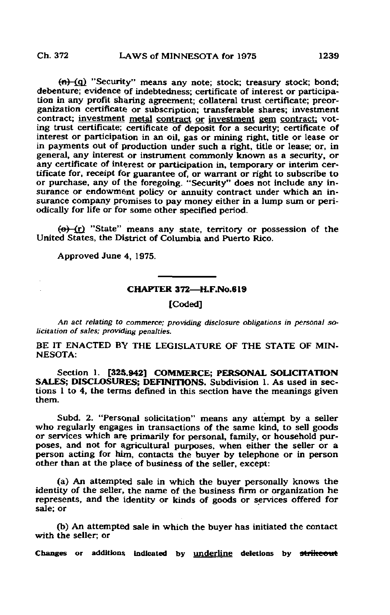$(n)$  "Security" means any note; stock; treasury stock; bond; debenture; evidence of indebtedness; certificate of interest or participation in any profit sharing agreement; collateral trust certificate; preorganization certificate or subscription; transferable shares; investment contract; investment metal contract or investment gem contract; voting trust certificate; certificate of deposit for a security; certificate of interest or participation in an oil, gas or mining right, title or lease or in payments out of production under such a right, title or lease; or, in general, any interest or instrument commonly known as a security, or any certificate of interest or participation in, temporary or interim certificate for, receipt for guarantee of, or warrant or right to subscribe to or purchase, any of the foregoing. "Security" does not include any insurance or endowment policy or annuity contract under which an insurance company promises to pay money either in a lump sum or periodically for life or for some other specified period.

(e)-(r) "State" means any state, territory or possession of the United States, the District of Columbia and Puerto Rico.

Approved June 4, 1975.

## CHAPTER 372—H.F.No.619

[Coded]

An act relating to commerce; providing disclosure obligations in personal solicitation of sales; providing penalties.

BE IT ENACTED BY THE LEGISLATURE OF THE STATE OF MIN-NESOTA:

Section 1. [325.942] COMMERCE: PERSONAL SOLICITATION SALES; DISCLOSURES; DEFINITIONS. Subdivision 1. As used in sections 1 to 4, the terms defined in this section have the meanings given them.

Subd. 2. "Personal solicitation" means any attempt by a seller who regularly engages in transactions of the same kind, to sell goods or services which are primarily for personal, family, or household purposes, and not for agricultural purposes, when either the seller or a person acting for him, contacts the buyer by telephone or in person other than at the place of business of the seller, except:

(a) An attempted sale in which the buyer personally knows the identity of the seller, the name of the business firm or organization he represents, and the identity or kinds of goods or services offered for sale; or

(b) An attempted sale in which the buyer has initiated the contact with the seller; or

Changes or additions indicated by underline deletions by strikeout